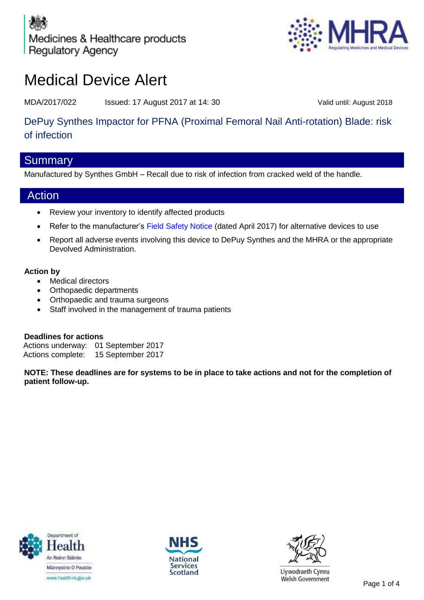Medicines & Healthcare products **Regulatory Agency** 



# Medical Device Alert

MDA/2017/022 Issued: 17 August 2017 at 14: 30 Valid until: August 2018

# DePuy Synthes Impactor for PFNA (Proximal Femoral Nail Anti-rotation) Blade: risk of infection

### **Summary**

Manufactured by Synthes GmbH – Recall due to risk of infection from cracked weld of the handle.

## Action

- Review your inventory to identify affected products
- Refer to the manufacturer's [Field Safety Notice](https://mhra.filecamp.com/public/file/2nbn-eojd9pk7) (dated April 2017) for alternative devices to use
- Report all adverse events involving this device to DePuy Synthes and the MHRA or the appropriate Devolved Administration.

### **Action by**

- Medical directors
- Orthopaedic departments
- Orthopaedic and trauma surgeons
- Staff involved in the management of trauma patients

**Deadlines for actions**  Actions underway: 01 September 2017 Actions complete: 15 September 2017

**NOTE: These deadlines are for systems to be in place to take actions and not for the completion of patient follow-up.**







Llywodraeth Cymru Welsh Government<br>Page 1 of 4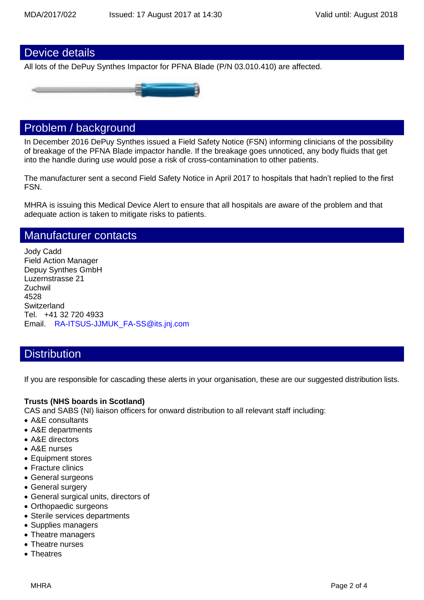### Device details

All lots of the DePuy Synthes Impactor for PFNA Blade (P/N 03.010.410) are affected.



### Problem / background

In December 2016 DePuy Synthes issued a Field Safety Notice (FSN) informing clinicians of the possibility of breakage of the PFNA Blade impactor handle. If the breakage goes unnoticed, any body fluids that get into the handle during use would pose a risk of cross-contamination to other patients.

The manufacturer sent a second Field Safety Notice in April 2017 to hospitals that hadn't replied to the first FSN.

MHRA is issuing this Medical Device Alert to ensure that all hospitals are aware of the problem and that adequate action is taken to mitigate risks to patients.

### Manufacturer contacts

Jody Cadd Field Action Manager Depuy Synthes GmbH Luzernstrasse 21 **Zuchwil** 4528 **Switzerland** Tel. +41 32 720 4933 Email. [RA-ITSUS-JJMUK\\_FA-SS@its.jnj.com](mailto:RA-ITSUS-JJMUK_FA-SS@its.jnj.com)

### **Distribution**

If you are responsible for cascading these alerts in your organisation, these are our suggested distribution lists.

#### **Trusts (NHS boards in Scotland)**

CAS and SABS (NI) liaison officers for onward distribution to all relevant staff including:

- A&E consultants
- A&E departments
- A&E directors
- A&E nurses
- Equipment stores
- Fracture clinics
- General surgeons
- General surgery
- General surgical units, directors of
- Orthopaedic surgeons
- Sterile services departments
- Supplies managers
- Theatre managers
- Theatre nurses
- Theatres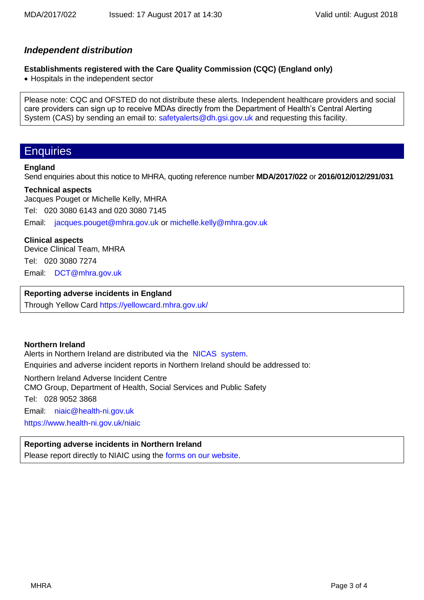### *Independent distribution*

### **Establishments registered with the Care Quality Commission (CQC) (England only)**

• Hospitals in the independent sector

Please note: CQC and OFSTED do not distribute these alerts. Independent healthcare providers and social care providers can sign up to receive MDAs directly from the Department of Health's Central Alerting System (CAS) by sending an email to: [safetyalerts@dh.gsi.gov.uk](mailto:safetyalerts@dh.gsi.gov.uk) and requesting this facility.

### **Enquiries**

#### **England**

Send enquiries about this notice to MHRA, quoting reference number **MDA/2017/022** or **2016/012/012/291/031**

#### **Technical aspects**

Jacques Pouget or Michelle Kelly, MHRA Tel: 020 3080 6143 and 020 3080 7145 Email: [jacques.pouget@mhra.gov.uk](mailto:jacques.pouget@mhra.gov.uk) or [michelle.kelly@mhra.gov.uk](mailto:michelle.kelly@mhra.gov.uk)

#### **Clinical aspects**

Device Clinical Team, MHRA Tel: 020 3080 7274 Email: [DCT@mhra.gov.uk](mailto:DCT@mhra.gov.uk)

### **Reporting adverse incidents in England**

Through Yellow Card<https://yellowcard.mhra.gov.uk/>

#### **Northern Ireland**

Alerts in Northern Ireland are distributed via the [NICAS](http://sabs.dhsspsni.gov.uk/) system.

Enquiries and adverse incident reports in Northern Ireland should be addressed to:

Northern Ireland Adverse Incident Centre

CMO Group, Department of Health, Social Services and Public Safety

Tel: 028 9052 3868

Email: [niaic@health-ni.gov.uk](mailto:niaic@health-ni.gov.uk) <https://www.health-ni.gov.uk/niaic>

### **Reporting adverse incidents in Northern Ireland**

Please report directly to NIAIC using the [forms on our website.](https://www.health-ni.gov.uk/articles/reporting-adverse-incident)